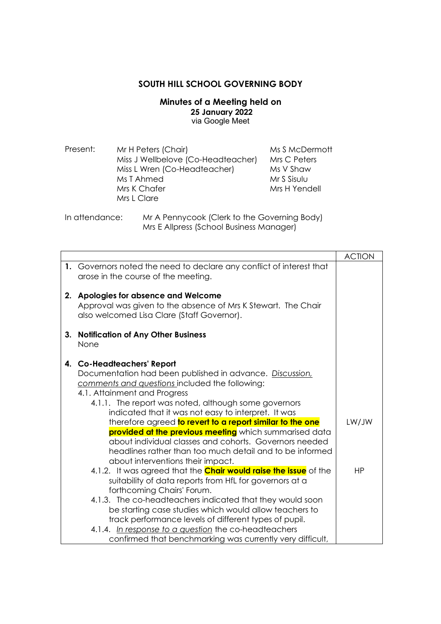## **SOUTH HILL SCHOOL GOVERNING BODY**

**Minutes of a Meeting held on 25 January 2022**  via Google Meet

| Present: | Mr H Peters (Chair)                | Ms S McDermott |
|----------|------------------------------------|----------------|
|          | Miss J Wellbelove (Co-Headteacher) | Mrs C Peters   |
|          | Miss L Wren (Co-Headteacher)       | Ms V Shaw      |
|          | Ms T Ahmed                         | Mr S Sisulu    |
|          | Mrs K Chafer                       | Mrs H Yendell  |
|          | Mrs L Clare                        |                |

In attendance: Mr A Pennycook (Clerk to the Governing Body) Mrs E Allpress (School Business Manager)

|    |                                                                                                                                                                                                                                                                                                                                                                                                                                                                                                                                                                           | <b>ACTION</b> |
|----|---------------------------------------------------------------------------------------------------------------------------------------------------------------------------------------------------------------------------------------------------------------------------------------------------------------------------------------------------------------------------------------------------------------------------------------------------------------------------------------------------------------------------------------------------------------------------|---------------|
|    | 1. Governors noted the need to declare any conflict of interest that<br>arose in the course of the meeting.                                                                                                                                                                                                                                                                                                                                                                                                                                                               |               |
|    | 2. Apologies for absence and Welcome<br>Approval was given to the absence of Mrs K Stewart. The Chair<br>also welcomed Lisa Clare (Staff Governor).                                                                                                                                                                                                                                                                                                                                                                                                                       |               |
| 3. | <b>Notification of Any Other Business</b><br>None                                                                                                                                                                                                                                                                                                                                                                                                                                                                                                                         |               |
|    | 4. Co-Headteachers' Report<br>Documentation had been published in advance. Discussion,<br>comments and questions included the following:<br>4.1. Attainment and Progress<br>4.1.1. The report was noted, although some governors<br>indicated that it was not easy to interpret. It was<br>therefore agreed to revert to a report similar to the one<br>provided at the previous meeting which summarised data<br>about individual classes and cohorts. Governors needed<br>headlines rather than too much detail and to be informed<br>about interventions their impact. | LW/JW         |
|    | 4.1.2. It was agreed that the <b>Chair would raise the issue</b> of the<br>suitability of data reports from HfL for governors at a<br>forthcoming Chairs' Forum.<br>4.1.3. The co-headteachers indicated that they would soon<br>be starting case studies which would allow teachers to<br>track performance levels of different types of pupil.<br>4.1.4. In response to a question the co-headteachers<br>confirmed that benchmarking was currently very difficult,                                                                                                     | <b>HP</b>     |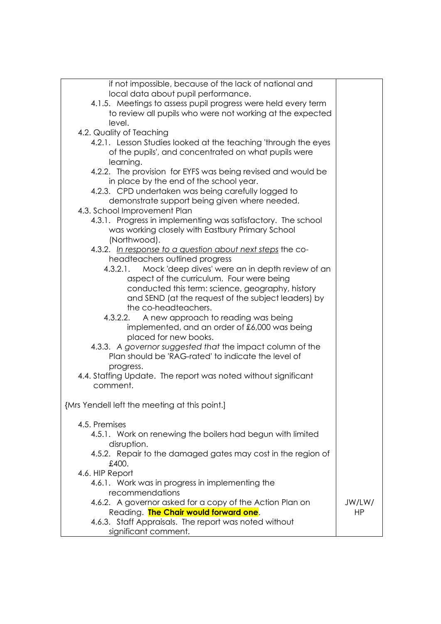| if not impossible, because of the lack of national and         |           |
|----------------------------------------------------------------|-----------|
| local data about pupil performance.                            |           |
| 4.1.5. Meetings to assess pupil progress were held every term  |           |
| to review all pupils who were not working at the expected      |           |
| level.                                                         |           |
| 4.2. Quality of Teaching                                       |           |
| 4.2.1. Lesson Studies looked at the teaching 'through the eyes |           |
| of the pupils', and concentrated on what pupils were           |           |
| learning.                                                      |           |
| 4.2.2. The provision for EYFS was being revised and would be   |           |
| in place by the end of the school year.                        |           |
| 4.2.3. CPD undertaken was being carefully logged to            |           |
| demonstrate support being given where needed.                  |           |
| 4.3. School Improvement Plan                                   |           |
| 4.3.1. Progress in implementing was satisfactory. The school   |           |
| was working closely with Eastbury Primary School               |           |
| (Northwood).                                                   |           |
| 4.3.2. In response to a question about next steps the co-      |           |
| headteachers outlined progress                                 |           |
| Mock 'deep dives' were an in depth review of an<br>4.3.2.1.    |           |
| aspect of the curriculum. Four were being                      |           |
| conducted this term: science, geography, history               |           |
| and SEND (at the request of the subject leaders) by            |           |
| the co-headteachers.                                           |           |
| A new approach to reading was being<br>4.3.2.2.                |           |
| implemented, and an order of £6,000 was being                  |           |
| placed for new books.                                          |           |
| 4.3.3. A governor suggested that the impact column of the      |           |
| Plan should be 'RAG-rated' to indicate the level of            |           |
| progress.                                                      |           |
| 4.4. Staffing Update. The report was noted without significant |           |
| comment.                                                       |           |
|                                                                |           |
| {Mrs Yendell left the meeting at this point.]                  |           |
|                                                                |           |
| 4.5. Premises                                                  |           |
| 4.5.1. Work on renewing the boilers had begun with limited     |           |
| disruption.                                                    |           |
| 4.5.2. Repair to the damaged gates may cost in the region of   |           |
| £400.                                                          |           |
| 4.6. HIP Report                                                |           |
| 4.6.1. Work was in progress in implementing the                |           |
| recommendations                                                |           |
| 4.6.2. A governor asked for a copy of the Action Plan on       | JW/LW/    |
| Reading. <b>The Chair would forward one.</b>                   | <b>HP</b> |
| 4.6.3. Staff Appraisals. The report was noted without          |           |
| significant comment.                                           |           |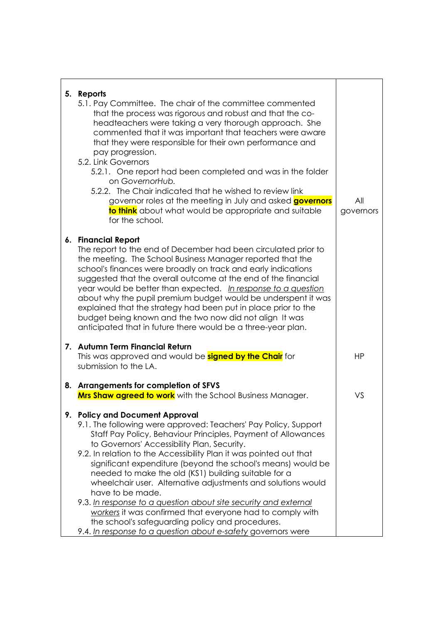| 5. Reports<br>5.1. Pay Committee. The chair of the committee commented<br>that the process was rigorous and robust and that the co-<br>headteachers were taking a very thorough approach. She<br>commented that it was important that teachers were aware<br>that they were responsible for their own performance and<br>pay progression.<br>5.2. Link Governors<br>5.2.1. One report had been completed and was in the folder<br>on GovernorHub.<br>5.2.2. The Chair indicated that he wished to review link<br>governor roles at the meeting in July and asked <b>governors</b><br>to think about what would be appropriate and suitable<br>for the school.                                                                                            | All<br>governors |
|----------------------------------------------------------------------------------------------------------------------------------------------------------------------------------------------------------------------------------------------------------------------------------------------------------------------------------------------------------------------------------------------------------------------------------------------------------------------------------------------------------------------------------------------------------------------------------------------------------------------------------------------------------------------------------------------------------------------------------------------------------|------------------|
| 6. Financial Report<br>The report to the end of December had been circulated prior to<br>the meeting. The School Business Manager reported that the<br>school's finances were broadly on track and early indications<br>suggested that the overall outcome at the end of the financial<br>year would be better than expected. In response to a question<br>about why the pupil premium budget would be underspent it was<br>explained that the strategy had been put in place prior to the<br>budget being known and the two now did not align It was<br>anticipated that in future there would be a three-year plan.                                                                                                                                    |                  |
| 7. Autumn Term Financial Return<br>This was approved and would be <b>signed by the Chair</b> for<br>submission to the LA.                                                                                                                                                                                                                                                                                                                                                                                                                                                                                                                                                                                                                                | HP               |
| 8. Arrangements for completion of SFVS<br><b>Mrs Shaw agreed to work</b> with the School Business Manager.                                                                                                                                                                                                                                                                                                                                                                                                                                                                                                                                                                                                                                               | VS               |
| 9. Policy and Document Approval<br>9.1. The following were approved: Teachers' Pay Policy, Support<br>Staff Pay Policy, Behaviour Principles, Payment of Allowances<br>to Governors' Accessibility Plan, Security.<br>9.2. In relation to the Accessibility Plan it was pointed out that<br>significant expenditure (beyond the school's means) would be<br>needed to make the old (KS1) building suitable for a<br>wheelchair user. Alternative adjustments and solutions would<br>have to be made.<br>9.3. In response to a question about site security and external<br>workers it was confirmed that everyone had to comply with<br>the school's safeguarding policy and procedures.<br>9.4. In response to a question about e-safety governors were |                  |